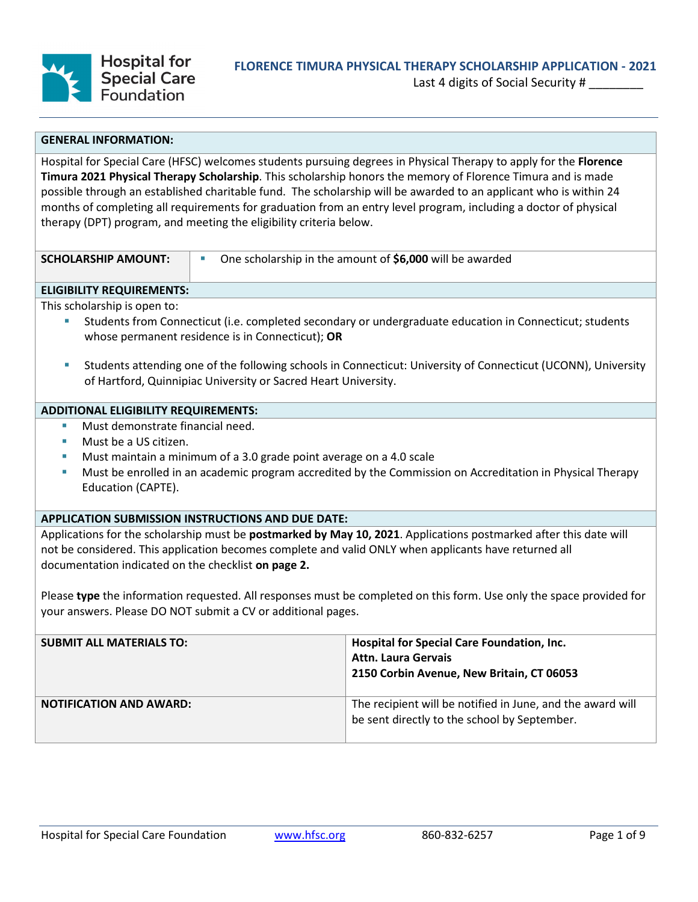

Last 4 digits of Social Security #

## **GENERAL INFORMATION:**

Hospital for Special Care (HFSC) welcomes students pursuing degrees in Physical Therapy to apply for the **Florence Timura 2021 Physical Therapy Scholarship**. This scholarship honors the memory of Florence Timura and is made possible through an established charitable fund. The scholarship will be awarded to an applicant who is within 24 months of completing all requirements for graduation from an entry level program, including a doctor of physical therapy (DPT) program, and meeting the eligibility criteria below.

| <b>SCHOLARSHIP AMOUNT:</b> |
|----------------------------|
|                            |

One scholarship in the amount of **\$6,000** will be awarded

### **ELIGIBILITY REQUIREMENTS:**

This scholarship is open to:

- Students from Connecticut (i.e. completed secondary or undergraduate education in Connecticut; students whose permanent residence is in Connecticut); **OR**
- Students attending one of the following schools in Connecticut: University of Connecticut (UCONN), University of Hartford, Quinnipiac University or Sacred Heart University.

## **ADDITIONAL ELIGIBILITY REQUIREMENTS:**

- Must demonstrate financial need.
- Must be a US citizen.
- Must maintain a minimum of a 3.0 grade point average on a 4.0 scale
- Must be enrolled in an academic program accredited by the Commission on Accreditation in Physical Therapy Education (CAPTE).

## **APPLICATION SUBMISSION INSTRUCTIONS AND DUE DATE:**

Applications for the scholarship must be **postmarked by May 10, 2021**. Applications postmarked after this date will not be considered. This application becomes complete and valid ONLY when applicants have returned all documentation indicated on the checklist **on page 2.**

Please **type** the information requested. All responses must be completed on this form. Use only the space provided for your answers. Please DO NOT submit a CV or additional pages.

| <b>SUBMIT ALL MATERIALS TO:</b> | Hospital for Special Care Foundation, Inc.<br><b>Attn. Laura Gervais</b><br>2150 Corbin Avenue, New Britain, CT 06053 |
|---------------------------------|-----------------------------------------------------------------------------------------------------------------------|
| <b>NOTIFICATION AND AWARD:</b>  | The recipient will be notified in June, and the award will<br>be sent directly to the school by September.            |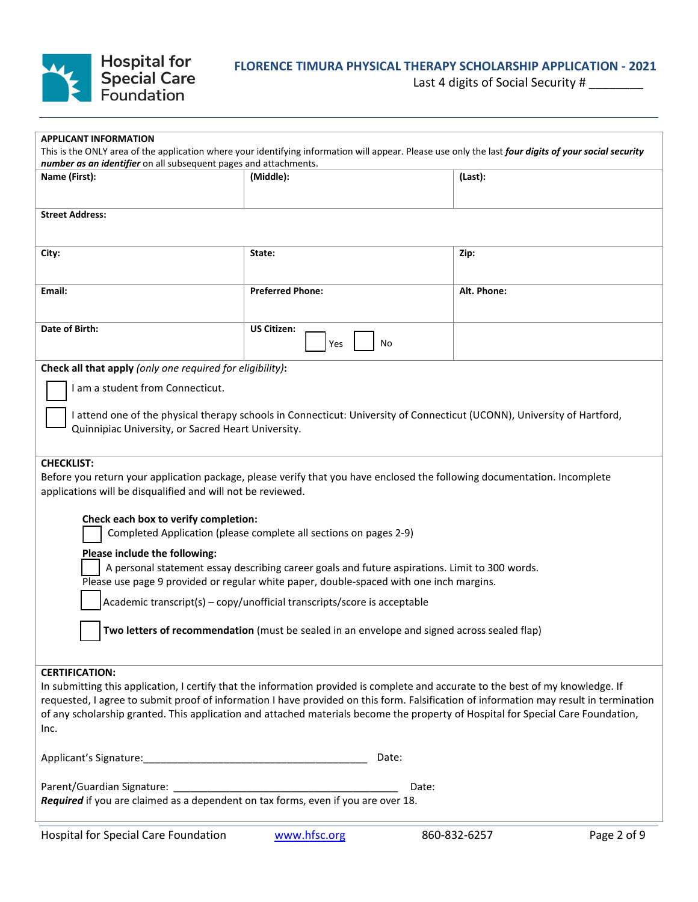

# **FLORENCE TIMURA PHYSICAL THERAPY SCHOLARSHIP APPLICATION - 2021**

Last 4 digits of Social Security # \_\_\_\_\_\_\_\_

| <b>APPLICANT INFORMATION</b>                                                                                                                                                                                              |                                                                                                                                  |             |  |
|---------------------------------------------------------------------------------------------------------------------------------------------------------------------------------------------------------------------------|----------------------------------------------------------------------------------------------------------------------------------|-------------|--|
| This is the ONLY area of the application where your identifying information will appear. Please use only the last four digits of your social security<br>number as an identifier on all subsequent pages and attachments. |                                                                                                                                  |             |  |
| Name (First):                                                                                                                                                                                                             | (Middle):                                                                                                                        | (Last):     |  |
|                                                                                                                                                                                                                           |                                                                                                                                  |             |  |
| <b>Street Address:</b>                                                                                                                                                                                                    |                                                                                                                                  |             |  |
|                                                                                                                                                                                                                           |                                                                                                                                  |             |  |
| City:                                                                                                                                                                                                                     | State:                                                                                                                           | Zip:        |  |
| Email:                                                                                                                                                                                                                    | <b>Preferred Phone:</b>                                                                                                          | Alt. Phone: |  |
| Date of Birth:                                                                                                                                                                                                            | <b>US Citizen:</b><br>No<br>Yes                                                                                                  |             |  |
| Check all that apply (only one required for eligibility):                                                                                                                                                                 |                                                                                                                                  |             |  |
| I am a student from Connecticut.                                                                                                                                                                                          |                                                                                                                                  |             |  |
| Quinnipiac University, or Sacred Heart University.                                                                                                                                                                        | I attend one of the physical therapy schools in Connecticut: University of Connecticut (UCONN), University of Hartford,          |             |  |
| <b>CHECKLIST:</b>                                                                                                                                                                                                         |                                                                                                                                  |             |  |
| applications will be disqualified and will not be reviewed.                                                                                                                                                               | Before you return your application package, please verify that you have enclosed the following documentation. Incomplete         |             |  |
|                                                                                                                                                                                                                           |                                                                                                                                  |             |  |
| Check each box to verify completion:                                                                                                                                                                                      | Completed Application (please complete all sections on pages 2-9)                                                                |             |  |
| Please include the following:                                                                                                                                                                                             |                                                                                                                                  |             |  |
|                                                                                                                                                                                                                           | A personal statement essay describing career goals and future aspirations. Limit to 300 words.                                   |             |  |
| Please use page 9 provided or regular white paper, double-spaced with one inch margins.                                                                                                                                   |                                                                                                                                  |             |  |
|                                                                                                                                                                                                                           | Academic transcript(s) - copy/unofficial transcripts/score is acceptable                                                         |             |  |
| Two letters of recommendation (must be sealed in an envelope and signed across sealed flap)                                                                                                                               |                                                                                                                                  |             |  |
|                                                                                                                                                                                                                           |                                                                                                                                  |             |  |
| <b>CERTIFICATION:</b>                                                                                                                                                                                                     | In submitting this application, I certify that the information provided is complete and accurate to the best of my knowledge. If |             |  |
| requested, I agree to submit proof of information I have provided on this form. Falsification of information may result in termination                                                                                    |                                                                                                                                  |             |  |
| of any scholarship granted. This application and attached materials become the property of Hospital for Special Care Foundation,<br>Inc.                                                                                  |                                                                                                                                  |             |  |
| Date:                                                                                                                                                                                                                     |                                                                                                                                  |             |  |
| Required if you are claimed as a dependent on tax forms, even if you are over 18.                                                                                                                                         | Date:                                                                                                                            |             |  |
|                                                                                                                                                                                                                           |                                                                                                                                  |             |  |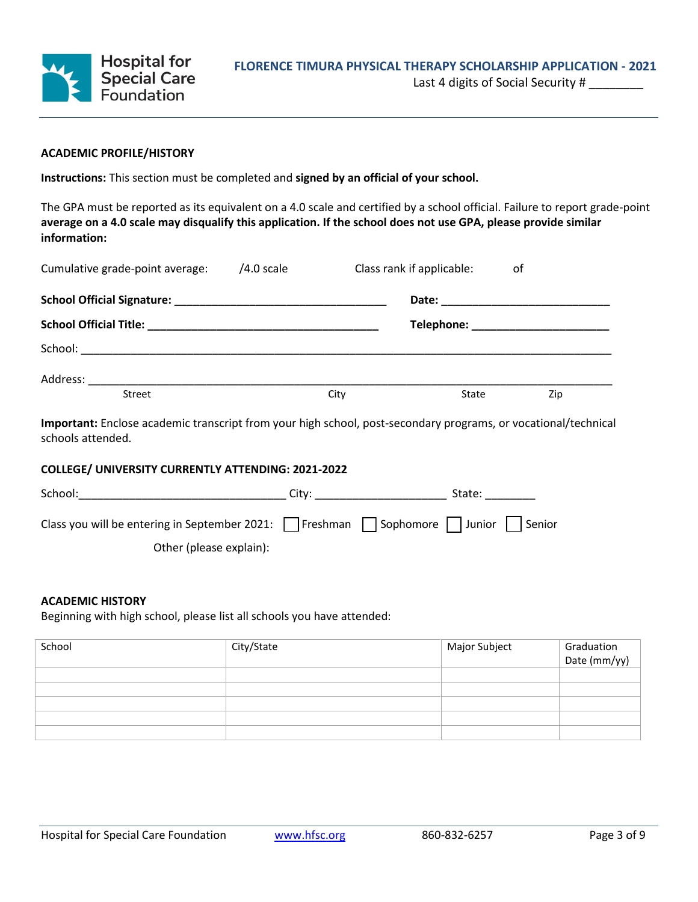

# **ACADEMIC PROFILE/HISTORY**

**Instructions:** This section must be completed and **signed by an official of your school.**

The GPA must be reported as its equivalent on a 4.0 scale and certified by a school official. Failure to report grade-point **average on a 4.0 scale may disqualify this application. If the school does not use GPA, please provide similar information:**

| Cumulative grade-point average: | $/4.0$ scale |      | Class rank if applicable: | οf  |
|---------------------------------|--------------|------|---------------------------|-----|
|                                 |              |      |                           |     |
|                                 |              |      |                           |     |
|                                 |              |      |                           |     |
|                                 |              |      |                           |     |
| Street                          |              | City | State                     | Zip |

**Important:** Enclose academic transcript from your high school, post-secondary programs, or vocational/technical schools attended.

# **COLLEGE/ UNIVERSITY CURRENTLY ATTENDING: 2021-2022**

| School:                                                                            | City: | State: |
|------------------------------------------------------------------------------------|-------|--------|
| Class you will be entering in September 2021: Freshman Sophomore   Junior   Senior |       |        |
| Other (please explain):                                                            |       |        |

# **ACADEMIC HISTORY**

Beginning with high school, please list all schools you have attended:

| School | City/State | Major Subject | Graduation<br>Date (mm/yy) |
|--------|------------|---------------|----------------------------|
|        |            |               |                            |
|        |            |               |                            |
|        |            |               |                            |
|        |            |               |                            |
|        |            |               |                            |
|        |            |               |                            |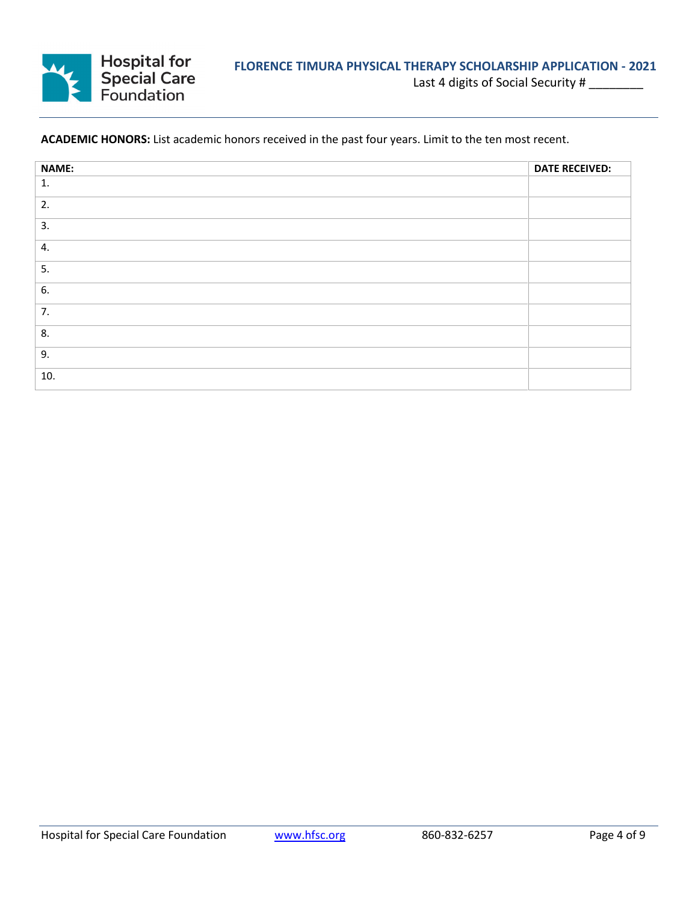

# **ACADEMIC HONORS:** List academic honors received in the past four years. Limit to the ten most recent.

| NAME: | <b>DATE RECEIVED:</b> |
|-------|-----------------------|
| 1.    |                       |
| 2.    |                       |
| 3.    |                       |
| 4.    |                       |
| 5.    |                       |
| 6.    |                       |
| 7.    |                       |
| 8.    |                       |
| 9.    |                       |
| 10.   |                       |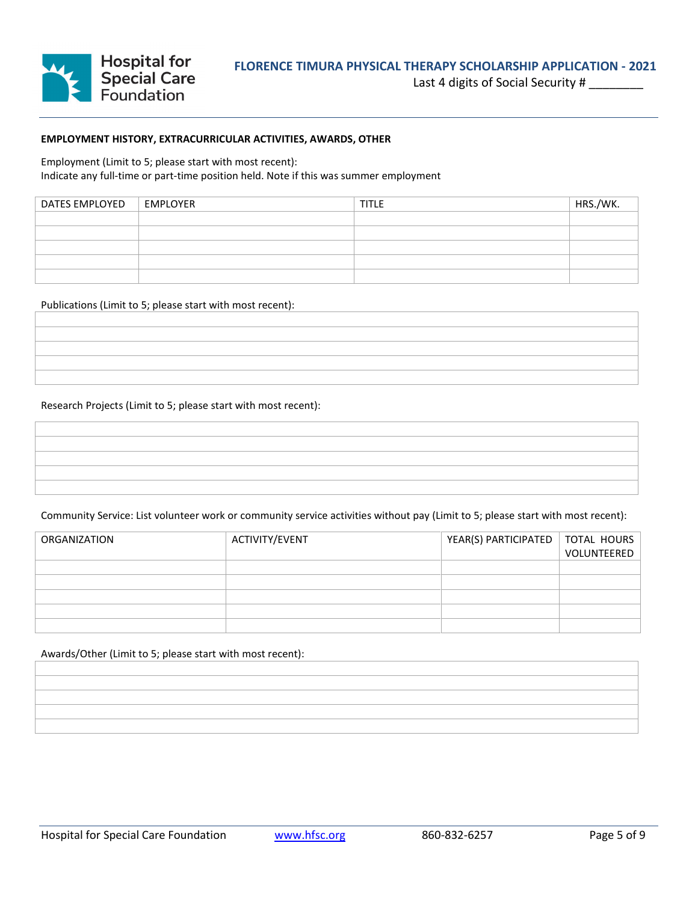

## **EMPLOYMENT HISTORY, EXTRACURRICULAR ACTIVITIES, AWARDS, OTHER**

Employment (Limit to 5; please start with most recent): Indicate any full-time or part-time position held. Note if this was summer employment

| DATES EMPLOYED | EMPLOYER | <b>TITLE</b> | HRS./WK. |
|----------------|----------|--------------|----------|
|                |          |              |          |
|                |          |              |          |
|                |          |              |          |
|                |          |              |          |
|                |          |              |          |

#### Publications (Limit to 5; please start with most recent):

#### Research Projects (Limit to 5; please start with most recent):

Community Service: List volunteer work or community service activities without pay (Limit to 5; please start with most recent):

| ORGANIZATION | ACTIVITY/EVENT | YEAR(S) PARTICIPATED   TOTAL HOURS | VOLUNTEERED |
|--------------|----------------|------------------------------------|-------------|
|              |                |                                    |             |
|              |                |                                    |             |
|              |                |                                    |             |
|              |                |                                    |             |
|              |                |                                    |             |

Awards/Other (Limit to 5; please start with most recent):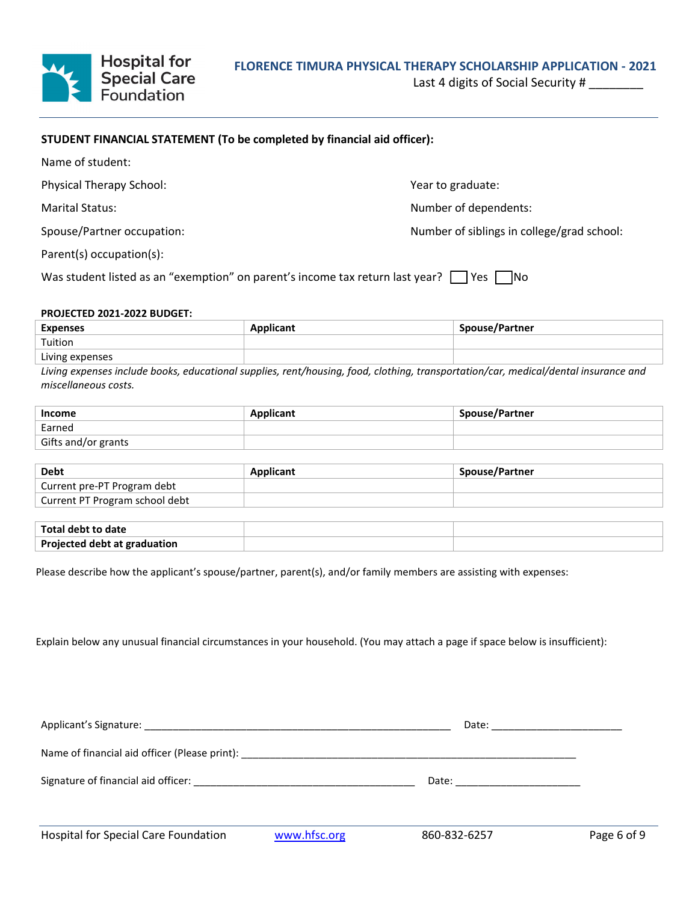

Last 4 digits of Social Security #

# **STUDENT FINANCIAL STATEMENT (To be completed by financial aid officer):**

| Name of student:                                                                                   |                                            |  |
|----------------------------------------------------------------------------------------------------|--------------------------------------------|--|
| <b>Physical Therapy School:</b>                                                                    | Year to graduate:                          |  |
| <b>Marital Status:</b>                                                                             | Number of dependents:                      |  |
| Spouse/Partner occupation:                                                                         | Number of siblings in college/grad school: |  |
| Parent(s) occupation(s):                                                                           |                                            |  |
| Was student listed as an "exemption" on parent's income tax return last year?<br><b>INo</b><br>Yes |                                            |  |

#### **PROJECTED 2021-2022 BUDGET:**

| <b>Expenses</b> | <b>Applicant</b> | Spouse/Partner |
|-----------------|------------------|----------------|
| Tuition         |                  |                |
| Living expenses |                  |                |

*Living expenses include books, educational supplies, rent/housing, food, clothing, transportation/car, medical/dental insurance and miscellaneous costs.*

| Income              | Applicant | <b>Spouse/Partner</b> |
|---------------------|-----------|-----------------------|
| Earned              |           |                       |
| Gifts and/or grants |           |                       |

| <b>Debt</b>                    | Applicant | Spouse/Partner |
|--------------------------------|-----------|----------------|
| Current pre-PT Program debt    |           |                |
| Current PT Program school debt |           |                |

| Total debt to date           |  |
|------------------------------|--|
| Projected debt at graduation |  |

Please describe how the applicant's spouse/partner, parent(s), and/or family members are assisting with expenses:

Explain below any unusual financial circumstances in your household. (You may attach a page if space below is insufficient):

|                                                                                                                                                                                                                                |              |                               | Date: _______________________ |
|--------------------------------------------------------------------------------------------------------------------------------------------------------------------------------------------------------------------------------|--------------|-------------------------------|-------------------------------|
| Name of financial aid officer (Please print): Name of the Contract of the Contract of the Contract of the Contract of the Contract of the Contract of the Contract of the Contract of the Contract of the Contract of the Cont |              |                               |                               |
|                                                                                                                                                                                                                                |              | Date: _______________________ |                               |
| <b>Hospital for Special Care Foundation</b>                                                                                                                                                                                    | www.hfsc.org | 860-832-6257                  | Page 6 of 9                   |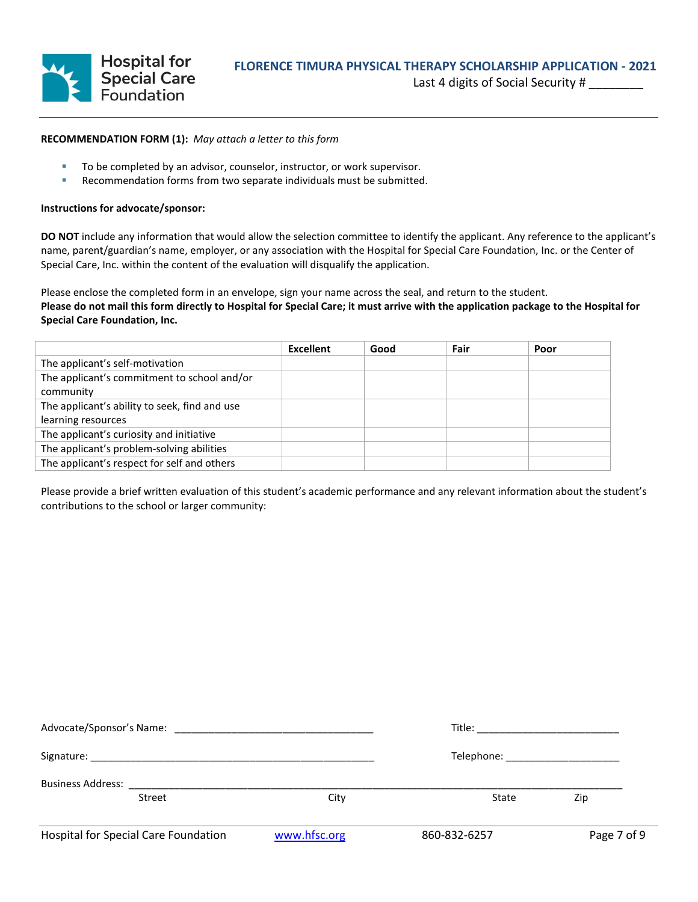

### **RECOMMENDATION FORM (1):** *May attach a letter to this form*

- To be completed by an advisor, counselor, instructor, or work supervisor.
- **Recommendation forms from two separate individuals must be submitted.**

#### **Instructions for advocate/sponsor:**

**DO NOT** include any information that would allow the selection committee to identify the applicant. Any reference to the applicant's name, parent/guardian's name, employer, or any association with the Hospital for Special Care Foundation, Inc. or the Center of Special Care, Inc. within the content of the evaluation will disqualify the application.

Please enclose the completed form in an envelope, sign your name across the seal, and return to the student. **Please do not mail this form directly to Hospital for Special Care; it must arrive with the application package to the Hospital for Special Care Foundation, Inc.** 

|                                               | <b>Excellent</b> | Good | Fair | Poor |
|-----------------------------------------------|------------------|------|------|------|
| The applicant's self-motivation               |                  |      |      |      |
| The applicant's commitment to school and/or   |                  |      |      |      |
| community                                     |                  |      |      |      |
| The applicant's ability to seek, find and use |                  |      |      |      |
| learning resources                            |                  |      |      |      |
| The applicant's curiosity and initiative      |                  |      |      |      |
| The applicant's problem-solving abilities     |                  |      |      |      |
| The applicant's respect for self and others   |                  |      |      |      |

Please provide a brief written evaluation of this student's academic performance and any relevant information about the student's contributions to the school or larger community:

|                                                                                                                                   |                                    | Title: __________________________ |             |
|-----------------------------------------------------------------------------------------------------------------------------------|------------------------------------|-----------------------------------|-------------|
|                                                                                                                                   | Telephone: _______________________ |                                   |             |
| <b>Business Address:</b> And The Manual Section 1976 and The Manual Section 1976 and The Manual Section 1976 and The Ma<br>Street | City                               | State                             | Zip         |
| <b>Hospital for Special Care Foundation</b>                                                                                       | www.hfsc.org                       | 860-832-6257                      | Page 7 of 9 |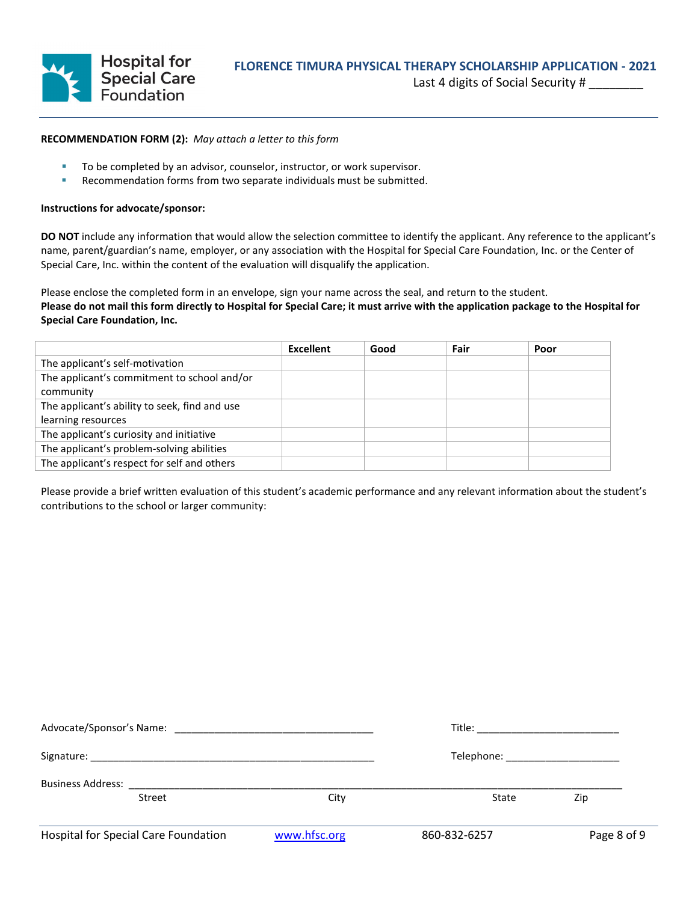

### **RECOMMENDATION FORM (2):** *May attach a letter to this form*

- To be completed by an advisor, counselor, instructor, or work supervisor.
- **Recommendation forms from two separate individuals must be submitted.**

#### **Instructions for advocate/sponsor:**

**DO NOT** include any information that would allow the selection committee to identify the applicant. Any reference to the applicant's name, parent/guardian's name, employer, or any association with the Hospital for Special Care Foundation, Inc. or the Center of Special Care, Inc. within the content of the evaluation will disqualify the application.

Please enclose the completed form in an envelope, sign your name across the seal, and return to the student. **Please do not mail this form directly to Hospital for Special Care; it must arrive with the application package to the Hospital for Special Care Foundation, Inc.** 

|                                               | Excellent | Good | Fair | Poor |
|-----------------------------------------------|-----------|------|------|------|
| The applicant's self-motivation               |           |      |      |      |
| The applicant's commitment to school and/or   |           |      |      |      |
| community                                     |           |      |      |      |
| The applicant's ability to seek, find and use |           |      |      |      |
| learning resources                            |           |      |      |      |
| The applicant's curiosity and initiative      |           |      |      |      |
| The applicant's problem-solving abilities     |           |      |      |      |
| The applicant's respect for self and others   |           |      |      |      |

Please provide a brief written evaluation of this student's academic performance and any relevant information about the student's contributions to the school or larger community:

|                                           |              | Title: ___________________________ |             |
|-------------------------------------------|--------------|------------------------------------|-------------|
|                                           |              | Telephone: _______________________ |             |
| <b>Business Address:</b><br><b>Street</b> | City         | State                              | Zip         |
| Hospital for Special Care Foundation      | www.hfsc.org | 860-832-6257                       | Page 8 of 9 |